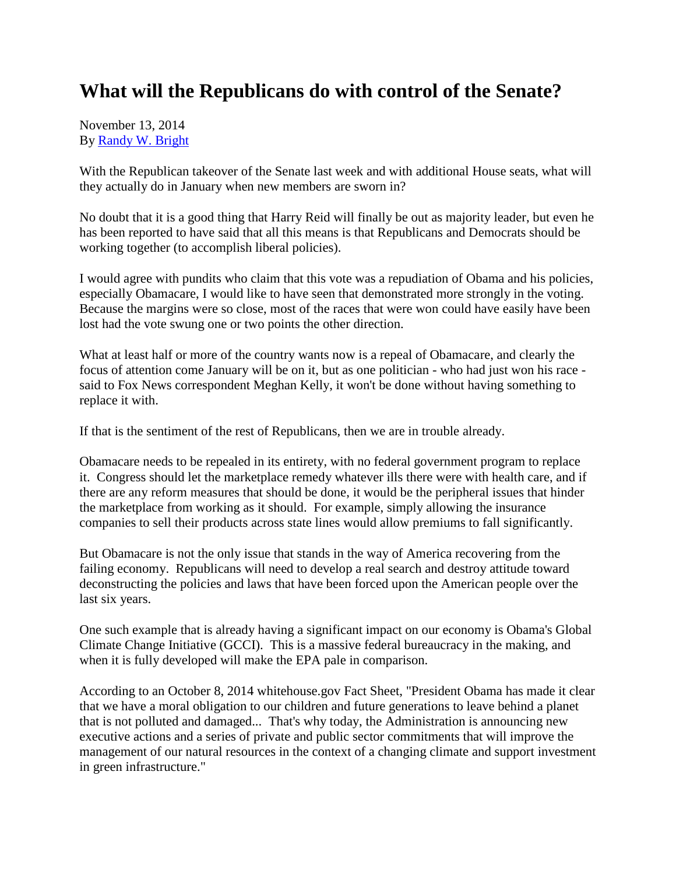## **What will the Republicans do with control of the Senate?**

November 13, 2014 By [Randy W. Bright](http://www.tulsabeacon.com/author/slug-o6yd1v)

With the Republican takeover of the Senate last week and with additional House seats, what will they actually do in January when new members are sworn in?

No doubt that it is a good thing that Harry Reid will finally be out as majority leader, but even he has been reported to have said that all this means is that Republicans and Democrats should be working together (to accomplish liberal policies).

I would agree with pundits who claim that this vote was a repudiation of Obama and his policies, especially Obamacare, I would like to have seen that demonstrated more strongly in the voting. Because the margins were so close, most of the races that were won could have easily have been lost had the vote swung one or two points the other direction.

What at least half or more of the country wants now is a repeal of Obamacare, and clearly the focus of attention come January will be on it, but as one politician - who had just won his race said to Fox News correspondent Meghan Kelly, it won't be done without having something to replace it with.

If that is the sentiment of the rest of Republicans, then we are in trouble already.

Obamacare needs to be repealed in its entirety, with no federal government program to replace it. Congress should let the marketplace remedy whatever ills there were with health care, and if there are any reform measures that should be done, it would be the peripheral issues that hinder the marketplace from working as it should. For example, simply allowing the insurance companies to sell their products across state lines would allow premiums to fall significantly.

But Obamacare is not the only issue that stands in the way of America recovering from the failing economy. Republicans will need to develop a real search and destroy attitude toward deconstructing the policies and laws that have been forced upon the American people over the last six years.

One such example that is already having a significant impact on our economy is Obama's Global Climate Change Initiative (GCCI). This is a massive federal bureaucracy in the making, and when it is fully developed will make the EPA pale in comparison.

According to an October 8, 2014 whitehouse.gov Fact Sheet, "President Obama has made it clear that we have a moral obligation to our children and future generations to leave behind a planet that is not polluted and damaged... That's why today, the Administration is announcing new executive actions and a series of private and public sector commitments that will improve the management of our natural resources in the context of a changing climate and support investment in green infrastructure."